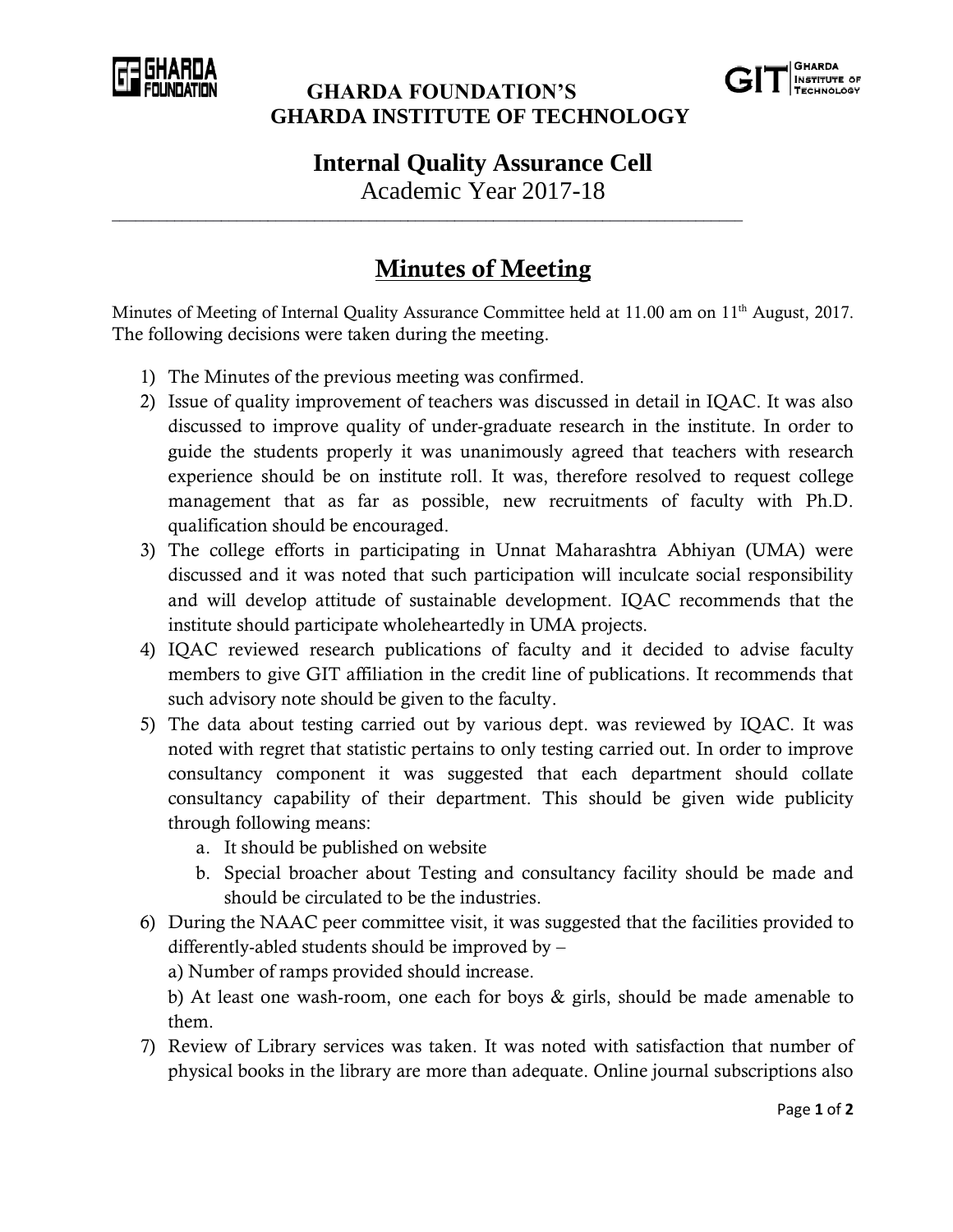

## **GHARDA FOUNDATION'S GHARDA INSTITUTE OF TECHNOLOGY**



**Internal Quality Assurance Cell**

Academic Year 2017-18

\_\_\_\_\_\_\_\_\_\_\_\_\_\_\_\_\_\_\_\_\_\_\_\_\_\_\_\_\_\_\_\_\_\_\_\_\_\_\_\_\_\_\_\_\_\_\_\_\_\_\_\_\_\_\_\_\_\_\_\_\_\_\_\_\_\_\_\_\_\_\_\_\_\_\_\_\_\_\_\_\_

## **Minutes of Meeting**

Minutes of Meeting of Internal Quality Assurance Committee held at 11.00 am on 11<sup>th</sup> August, 2017. The following decisions were taken during the meeting.

- 1) The Minutes of the previous meeting was confirmed.
- 2) Issue of quality improvement of teachers was discussed in detail in IQAC. It was also discussed to improve quality of under-graduate research in the institute. In order to guide the students properly it was unanimously agreed that teachers with research experience should be on institute roll. It was, therefore resolved to request college management that as far as possible, new recruitments of faculty with Ph.D. qualification should be encouraged.
- 3) The college efforts in participating in Unnat Maharashtra Abhiyan (UMA) were discussed and it was noted that such participation will inculcate social responsibility and will develop attitude of sustainable development. IQAC recommends that the institute should participate wholeheartedly in UMA projects.
- 4) IQAC reviewed research publications of faculty and it decided to advise faculty members to give GIT affiliation in the credit line of publications. It recommends that such advisory note should be given to the faculty.
- 5) The data about testing carried out by various dept. was reviewed by IQAC. It was noted with regret that statistic pertains to only testing carried out. In order to improve consultancy component it was suggested that each department should collate consultancy capability of their department. This should be given wide publicity through following means:
	- a. It should be published on website
	- b. Special broacher about Testing and consultancy facility should be made and should be circulated to be the industries.
- 6) During the NAAC peer committee visit, it was suggested that the facilities provided to differently-abled students should be improved by –

a) Number of ramps provided should increase.

b) At least one wash-room, one each for boys & girls, should be made amenable to them.

7) Review of Library services was taken. It was noted with satisfaction that number of physical books in the library are more than adequate. Online journal subscriptions also